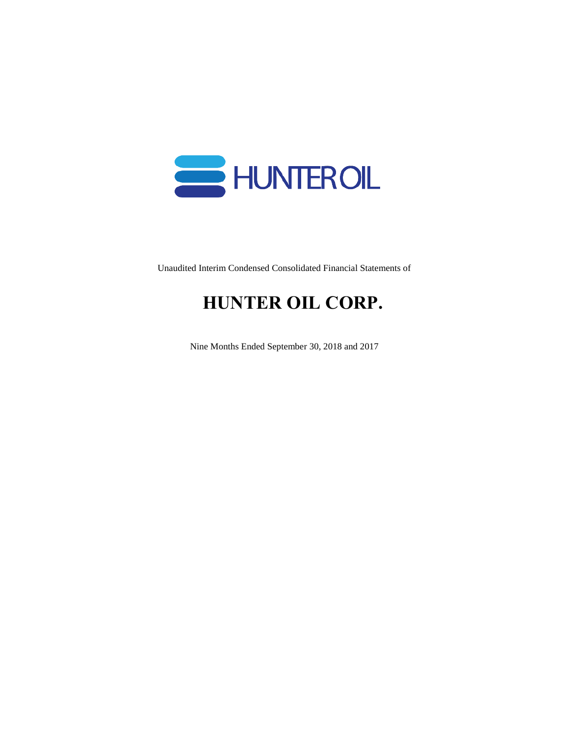

Unaudited Interim Condensed Consolidated Financial Statements of

# **HUNTER OIL CORP.**

Nine Months Ended September 30, 2018 and 2017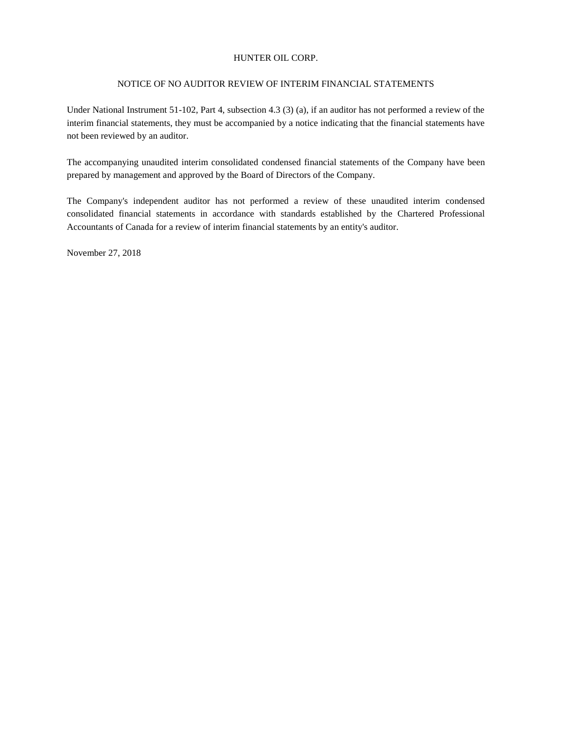#### NOTICE OF NO AUDITOR REVIEW OF INTERIM FINANCIAL STATEMENTS

Under National Instrument 51-102, Part 4, subsection 4.3 (3) (a), if an auditor has not performed a review of the interim financial statements, they must be accompanied by a notice indicating that the financial statements have not been reviewed by an auditor.

The accompanying unaudited interim consolidated condensed financial statements of the Company have been prepared by management and approved by the Board of Directors of the Company.

The Company's independent auditor has not performed a review of these unaudited interim condensed consolidated financial statements in accordance with standards established by the Chartered Professional Accountants of Canada for a review of interim financial statements by an entity's auditor.

November 27, 2018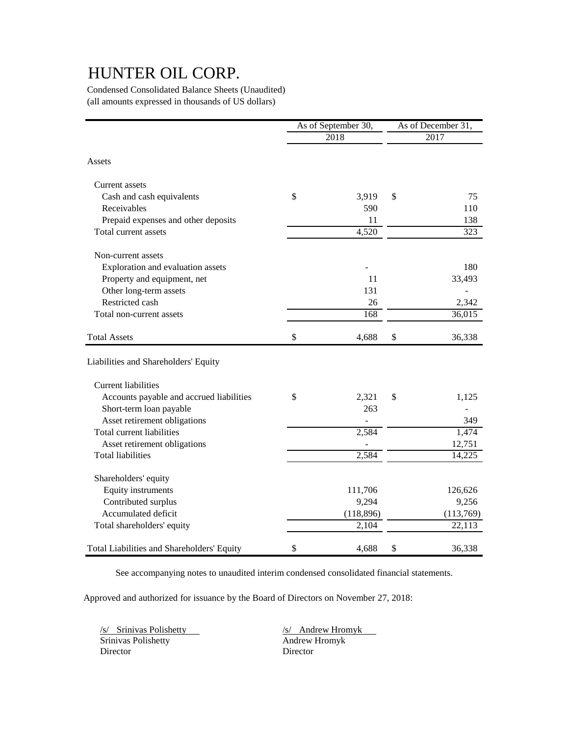Condensed Consolidated Balance Sheets (Unaudited) (all amounts expressed in thousands of US dollars)

|                                            | As of September 30, |            | As of December 31, |           |  |
|--------------------------------------------|---------------------|------------|--------------------|-----------|--|
|                                            |                     | 2018       |                    | 2017      |  |
| Assets                                     |                     |            |                    |           |  |
| Current assets                             |                     |            |                    |           |  |
| Cash and cash equivalents                  | \$                  | 3,919      | \$                 | 75        |  |
| Receivables                                |                     | 590        |                    | 110       |  |
| Prepaid expenses and other deposits        |                     | 11         |                    | 138       |  |
| Total current assets                       |                     | 4,520      |                    | 323       |  |
| Non-current assets                         |                     |            |                    |           |  |
| Exploration and evaluation assets          |                     |            |                    | 180       |  |
| Property and equipment, net                |                     | 11         |                    | 33,493    |  |
| Other long-term assets                     |                     | 131        |                    |           |  |
| Restricted cash                            |                     | 26         |                    | 2,342     |  |
| Total non-current assets                   |                     | 168        |                    | 36,015    |  |
| <b>Total Assets</b>                        | \$                  | 4,688      | \$                 | 36,338    |  |
| Liabilities and Shareholders' Equity       |                     |            |                    |           |  |
| <b>Current liabilities</b>                 |                     |            |                    |           |  |
| Accounts payable and accrued liabilities   | \$                  | 2,321      | \$                 | 1,125     |  |
| Short-term loan payable                    |                     | 263        |                    |           |  |
| Asset retirement obligations               |                     |            |                    | 349       |  |
| Total current liabilities                  |                     | 2,584      |                    | 1,474     |  |
| Asset retirement obligations               |                     |            |                    | 12,751    |  |
| <b>Total liabilities</b>                   |                     | 2,584      |                    | 14,225    |  |
| Shareholders' equity                       |                     |            |                    |           |  |
| <b>Equity instruments</b>                  |                     | 111,706    |                    | 126,626   |  |
| Contributed surplus                        |                     | 9,294      |                    | 9,256     |  |
| Accumulated deficit                        |                     | (118, 896) |                    | (113,769) |  |
| Total shareholders' equity                 |                     | 2,104      |                    | 22,113    |  |
| Total Liabilities and Shareholders' Equity | \$                  | 4,688      | \$                 | 36,338    |  |

See accompanying notes to unaudited interim condensed consolidated financial statements.

Approved and authorized for issuance by the Board of Directors on November 27, 2018:

/s/ Srinivas Polishetty /s/ Andrew Hromyk Srinivas Polishetty Director Director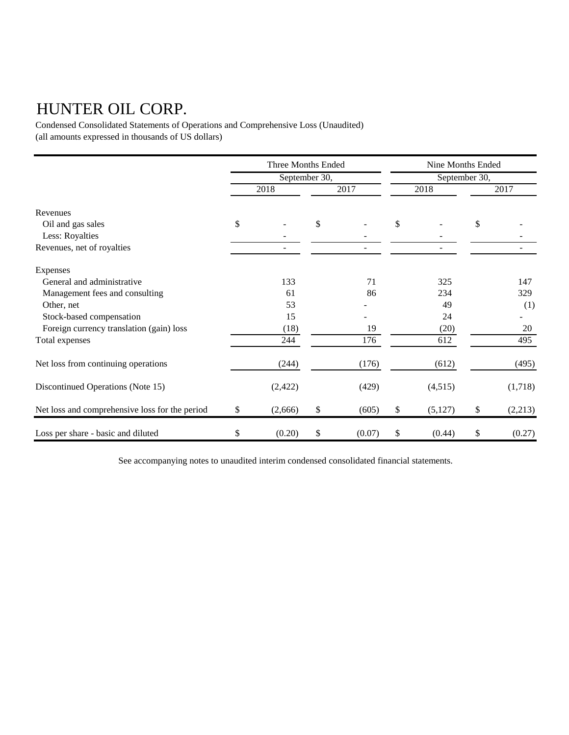Condensed Consolidated Statements of Operations and Comprehensive Loss (Unaudited) (all amounts expressed in thousands of US dollars)

|                                                | Three Months Ended |          |      |        | Nine Months Ended<br>September 30, |         |      |         |
|------------------------------------------------|--------------------|----------|------|--------|------------------------------------|---------|------|---------|
|                                                | September 30,      |          |      |        |                                    |         |      |         |
|                                                |                    | 2018     | 2017 |        | 2018                               |         | 2017 |         |
| Revenues                                       |                    |          |      |        |                                    |         |      |         |
| Oil and gas sales                              | \$                 |          | \$   |        | \$                                 |         | \$   |         |
| Less: Royalties                                |                    |          |      |        |                                    |         |      |         |
| Revenues, net of royalties                     |                    |          |      |        |                                    |         |      |         |
| Expenses                                       |                    |          |      |        |                                    |         |      |         |
| General and administrative                     |                    | 133      |      | 71     |                                    | 325     |      | 147     |
| Management fees and consulting                 |                    | 61       |      | 86     |                                    | 234     |      | 329     |
| Other, net                                     |                    | 53       |      |        |                                    | 49      |      | (1)     |
| Stock-based compensation                       |                    | 15       |      |        |                                    | 24      |      |         |
| Foreign currency translation (gain) loss       |                    | (18)     |      | 19     |                                    | (20)    |      | 20      |
| Total expenses                                 |                    | 244      |      | 176    |                                    | 612     |      | 495     |
| Net loss from continuing operations            |                    | (244)    |      | (176)  |                                    | (612)   |      | (495)   |
| Discontinued Operations (Note 15)              |                    | (2, 422) |      | (429)  |                                    | (4,515) |      | (1,718) |
| Net loss and comprehensive loss for the period | \$                 | (2,666)  | \$   | (605)  | \$                                 | (5,127) | \$   | (2,213) |
| Loss per share - basic and diluted             | \$                 | (0.20)   | \$   | (0.07) | \$                                 | (0.44)  | \$   | (0.27)  |

See accompanying notes to unaudited interim condensed consolidated financial statements.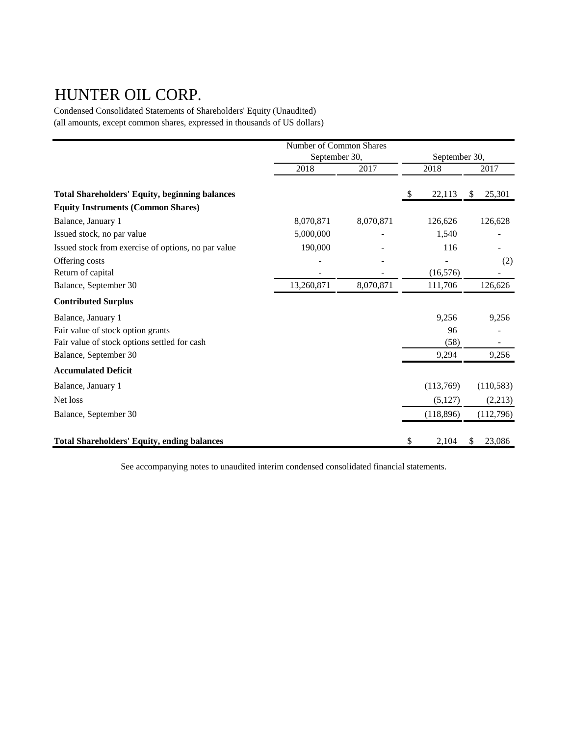Condensed Consolidated Statements of Shareholders' Equity (Unaudited) (all amounts, except common shares, expressed in thousands of US dollars)

|                                                       | Number of Common Shares        |           |    |            |              |  |
|-------------------------------------------------------|--------------------------------|-----------|----|------------|--------------|--|
|                                                       | September 30,<br>September 30, |           |    |            |              |  |
|                                                       | 2018                           | 2017      |    | 2018       | 2017         |  |
| <b>Total Shareholders' Equity, beginning balances</b> |                                |           | S  | 22,113     | 25,301<br>S  |  |
| <b>Equity Instruments (Common Shares)</b>             |                                |           |    |            |              |  |
| Balance, January 1                                    | 8,070,871                      | 8,070,871 |    | 126,626    | 126,628      |  |
| Issued stock, no par value                            | 5,000,000                      |           |    | 1,540      |              |  |
| Issued stock from exercise of options, no par value   | 190,000                        |           |    | 116        |              |  |
| Offering costs                                        |                                |           |    |            | (2)          |  |
| Return of capital                                     |                                |           |    | (16, 576)  |              |  |
| Balance, September 30                                 | 13,260,871                     | 8,070,871 |    | 111,706    | 126,626      |  |
| <b>Contributed Surplus</b>                            |                                |           |    |            |              |  |
| Balance, January 1                                    |                                |           |    | 9,256      | 9,256        |  |
| Fair value of stock option grants                     |                                |           |    | 96         |              |  |
| Fair value of stock options settled for cash          |                                |           |    | (58)       |              |  |
| Balance, September 30                                 |                                |           |    | 9,294      | 9,256        |  |
| <b>Accumulated Deficit</b>                            |                                |           |    |            |              |  |
| Balance, January 1                                    |                                |           |    | (113,769)  | (110, 583)   |  |
| Net loss                                              |                                |           |    | (5,127)    | (2,213)      |  |
| Balance, September 30                                 |                                |           |    | (118, 896) | (112,796)    |  |
| <b>Total Shareholders' Equity, ending balances</b>    |                                |           | \$ | 2,104      | \$<br>23,086 |  |

See accompanying notes to unaudited interim condensed consolidated financial statements.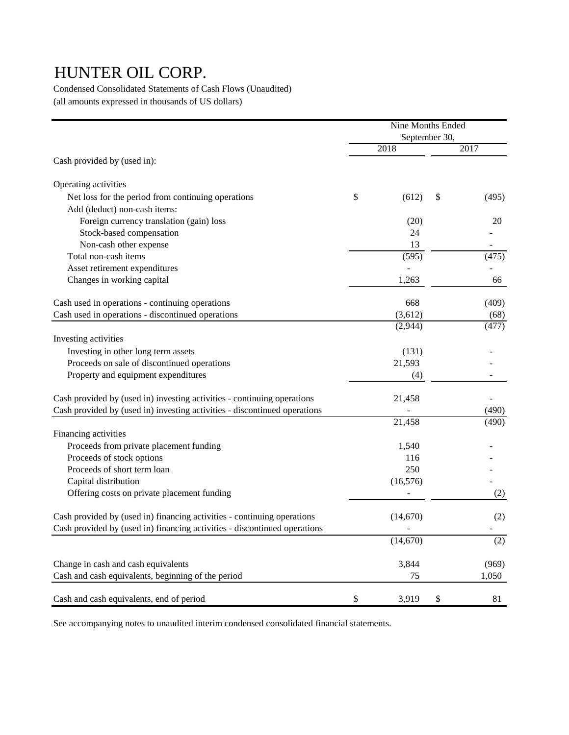Condensed Consolidated Statements of Cash Flows (Unaudited) (all amounts expressed in thousands of US dollars)

|                                                                           | Nine Months Ended |           |               |       |
|---------------------------------------------------------------------------|-------------------|-----------|---------------|-------|
|                                                                           |                   |           | September 30, |       |
| Cash provided by (used in):                                               |                   | 2018      |               | 2017  |
| Operating activities                                                      |                   |           |               |       |
| Net loss for the period from continuing operations                        | \$                | (612)     | \$            | (495) |
| Add (deduct) non-cash items:                                              |                   |           |               |       |
| Foreign currency translation (gain) loss                                  |                   | (20)      |               | 20    |
| Stock-based compensation                                                  |                   | 24        |               |       |
| Non-cash other expense                                                    |                   | 13        |               |       |
| Total non-cash items                                                      |                   | (595)     |               | (475) |
| Asset retirement expenditures                                             |                   |           |               |       |
| Changes in working capital                                                |                   | 1,263     |               | 66    |
| Cash used in operations - continuing operations                           |                   | 668       |               | (409) |
| Cash used in operations - discontinued operations                         |                   | (3,612)   |               | (68)  |
|                                                                           |                   | (2,944)   |               | (477) |
| Investing activities                                                      |                   |           |               |       |
| Investing in other long term assets                                       |                   | (131)     |               |       |
| Proceeds on sale of discontinued operations                               |                   | 21,593    |               |       |
| Property and equipment expenditures                                       |                   | (4)       |               |       |
| Cash provided by (used in) investing activities - continuing operations   |                   | 21,458    |               |       |
| Cash provided by (used in) investing activities - discontinued operations |                   |           |               | (490) |
|                                                                           |                   | 21,458    |               | (490) |
| Financing activities                                                      |                   |           |               |       |
| Proceeds from private placement funding                                   |                   | 1,540     |               |       |
| Proceeds of stock options                                                 |                   | 116       |               |       |
| Proceeds of short term loan                                               |                   | 250       |               |       |
| Capital distribution                                                      |                   | (16, 576) |               |       |
| Offering costs on private placement funding                               |                   |           |               | (2)   |
| Cash provided by (used in) financing activities - continuing operations   |                   | (14,670)  |               | (2)   |
| Cash provided by (used in) financing activities - discontinued operations |                   |           |               |       |
|                                                                           |                   | (14,670)  |               | (2)   |
| Change in cash and cash equivalents                                       |                   | 3,844     |               | (969) |
| Cash and cash equivalents, beginning of the period                        |                   | 75        |               | 1,050 |
| Cash and cash equivalents, end of period                                  | \$                | 3,919     | \$            | 81    |

See accompanying notes to unaudited interim condensed consolidated financial statements.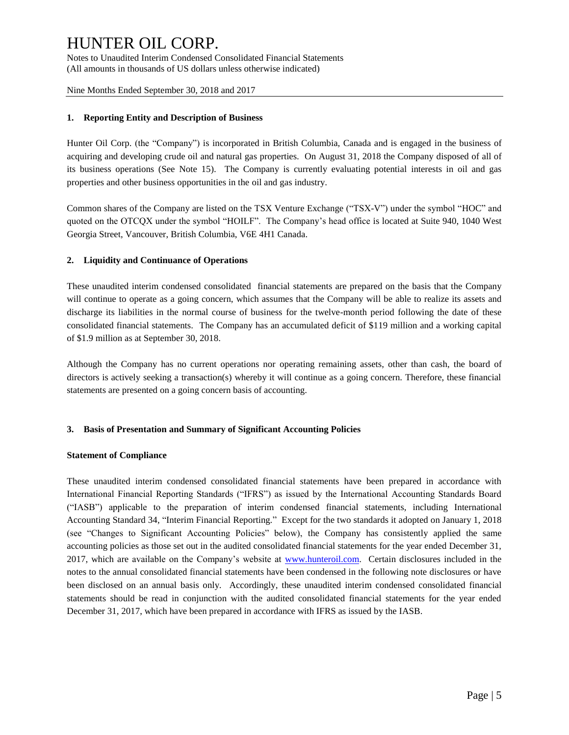Notes to Unaudited Interim Condensed Consolidated Financial Statements (All amounts in thousands of US dollars unless otherwise indicated)

Nine Months Ended September 30, 2018 and 2017

### **1. Reporting Entity and Description of Business**

Hunter Oil Corp. (the "Company") is incorporated in British Columbia, Canada and is engaged in the business of acquiring and developing crude oil and natural gas properties. On August 31, 2018 the Company disposed of all of its business operations (See Note 15). The Company is currently evaluating potential interests in oil and gas properties and other business opportunities in the oil and gas industry.

Common shares of the Company are listed on the TSX Venture Exchange ("TSX-V") under the symbol "HOC" and quoted on the OTCQX under the symbol "HOILF". The Company's head office is located at Suite 940, 1040 West Georgia Street, Vancouver, British Columbia, V6E 4H1 Canada.

### **2. Liquidity and Continuance of Operations**

These unaudited interim condensed consolidated financial statements are prepared on the basis that the Company will continue to operate as a going concern, which assumes that the Company will be able to realize its assets and discharge its liabilities in the normal course of business for the twelve-month period following the date of these consolidated financial statements. The Company has an accumulated deficit of \$119 million and a working capital of \$1.9 million as at September 30, 2018.

Although the Company has no current operations nor operating remaining assets, other than cash, the board of directors is actively seeking a transaction(s) whereby it will continue as a going concern. Therefore, these financial statements are presented on a going concern basis of accounting.

#### **3. Basis of Presentation and Summary of Significant Accounting Policies**

#### **Statement of Compliance**

These unaudited interim condensed consolidated financial statements have been prepared in accordance with International Financial Reporting Standards ("IFRS") as issued by the International Accounting Standards Board ("IASB") applicable to the preparation of interim condensed financial statements, including International Accounting Standard 34, "Interim Financial Reporting." Except for the two standards it adopted on January 1, 2018 (see "Changes to Significant Accounting Policies" below), the Company has consistently applied the same accounting policies as those set out in the audited consolidated financial statements for the year ended December 31, 2017, which are available on the Company's website at [www.hunteroil.com.](http://www.hunteroil.com/) Certain disclosures included in the notes to the annual consolidated financial statements have been condensed in the following note disclosures or have been disclosed on an annual basis only. Accordingly, these unaudited interim condensed consolidated financial statements should be read in conjunction with the audited consolidated financial statements for the year ended December 31, 2017, which have been prepared in accordance with IFRS as issued by the IASB.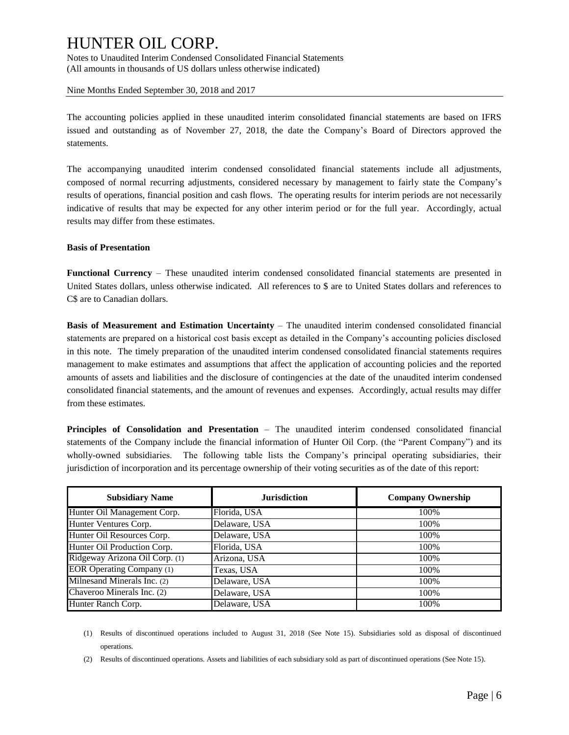Notes to Unaudited Interim Condensed Consolidated Financial Statements (All amounts in thousands of US dollars unless otherwise indicated)

Nine Months Ended September 30, 2018 and 2017

The accounting policies applied in these unaudited interim consolidated financial statements are based on IFRS issued and outstanding as of November 27, 2018, the date the Company's Board of Directors approved the statements.

The accompanying unaudited interim condensed consolidated financial statements include all adjustments, composed of normal recurring adjustments, considered necessary by management to fairly state the Company's results of operations, financial position and cash flows. The operating results for interim periods are not necessarily indicative of results that may be expected for any other interim period or for the full year. Accordingly, actual results may differ from these estimates.

### **Basis of Presentation**

**Functional Currency** – These unaudited interim condensed consolidated financial statements are presented in United States dollars, unless otherwise indicated. All references to \$ are to United States dollars and references to C\$ are to Canadian dollars.

**Basis of Measurement and Estimation Uncertainty** – The unaudited interim condensed consolidated financial statements are prepared on a historical cost basis except as detailed in the Company's accounting policies disclosed in this note. The timely preparation of the unaudited interim condensed consolidated financial statements requires management to make estimates and assumptions that affect the application of accounting policies and the reported amounts of assets and liabilities and the disclosure of contingencies at the date of the unaudited interim condensed consolidated financial statements, and the amount of revenues and expenses. Accordingly, actual results may differ from these estimates.

**Principles of Consolidation and Presentation** – The unaudited interim condensed consolidated financial statements of the Company include the financial information of Hunter Oil Corp. (the "Parent Company") and its wholly-owned subsidiaries. The following table lists the Company's principal operating subsidiaries, their jurisdiction of incorporation and its percentage ownership of their voting securities as of the date of this report:

| <b>Subsidiary Name</b>           | <b>Jurisdiction</b> | <b>Company Ownership</b> |
|----------------------------------|---------------------|--------------------------|
| Hunter Oil Management Corp.      | Florida, USA        | 100%                     |
| Hunter Ventures Corp.            | Delaware, USA       | 100%                     |
| Hunter Oil Resources Corp.       | Delaware, USA       | 100%                     |
| Hunter Oil Production Corp.      | Florida, USA        | 100%                     |
| Ridgeway Arizona Oil Corp. (1)   | Arizona, USA        | 100%                     |
| <b>EOR Operating Company (1)</b> | Texas, USA          | 100%                     |
| Milnesand Minerals Inc. (2)      | Delaware, USA       | 100%                     |
| Chaveroo Minerals Inc. (2)       | Delaware, USA       | 100%                     |
| Hunter Ranch Corp.               | Delaware, USA       | 100%                     |

- (1) Results of discontinued operations included to August 31, 2018 (See Note 15). Subsidiaries sold as disposal of discontinued operations.
- (2) Results of discontinued operations. Assets and liabilities of each subsidiary sold as part of discontinued operations (See Note 15).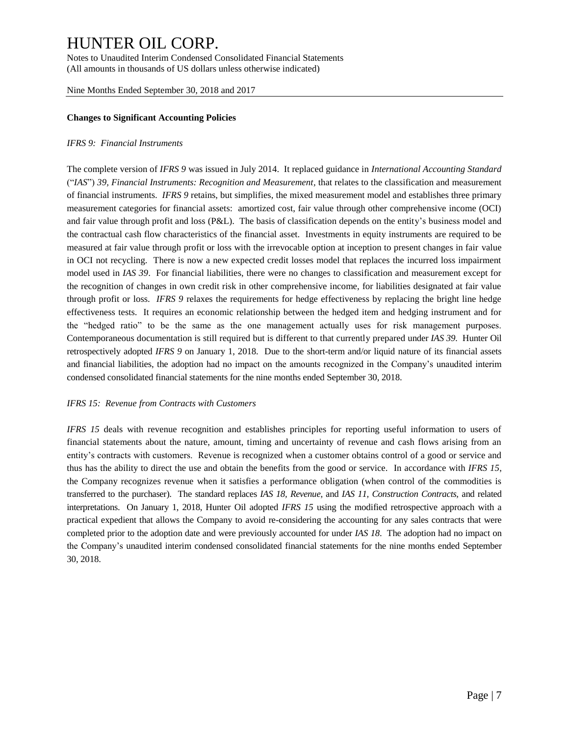Notes to Unaudited Interim Condensed Consolidated Financial Statements (All amounts in thousands of US dollars unless otherwise indicated)

Nine Months Ended September 30, 2018 and 2017

### **Changes to Significant Accounting Policies**

#### *IFRS 9: Financial Instruments*

The complete version of *IFRS 9* was issued in July 2014. It replaced guidance in *International Accounting Standard*  ("*IAS*") *39, Financial Instruments: Recognition and Measurement,* that relates to the classification and measurement of financial instruments. *IFRS 9* retains, but simplifies, the mixed measurement model and establishes three primary measurement categories for financial assets: amortized cost, fair value through other comprehensive income (OCI) and fair value through profit and loss (P&L). The basis of classification depends on the entity's business model and the contractual cash flow characteristics of the financial asset. Investments in equity instruments are required to be measured at fair value through profit or loss with the irrevocable option at inception to present changes in fair value in OCI not recycling. There is now a new expected credit losses model that replaces the incurred loss impairment model used in *IAS 39*. For financial liabilities, there were no changes to classification and measurement except for the recognition of changes in own credit risk in other comprehensive income, for liabilities designated at fair value through profit or loss. *IFRS 9* relaxes the requirements for hedge effectiveness by replacing the bright line hedge effectiveness tests. It requires an economic relationship between the hedged item and hedging instrument and for the "hedged ratio" to be the same as the one management actually uses for risk management purposes. Contemporaneous documentation is still required but is different to that currently prepared under *IAS 39.* Hunter Oil retrospectively adopted *IFRS 9* on January 1, 2018. Due to the short-term and/or liquid nature of its financial assets and financial liabilities, the adoption had no impact on the amounts recognized in the Company's unaudited interim condensed consolidated financial statements for the nine months ended September 30, 2018.

#### *IFRS 15: Revenue from Contracts with Customers*

*IFRS 15* deals with revenue recognition and establishes principles for reporting useful information to users of financial statements about the nature, amount, timing and uncertainty of revenue and cash flows arising from an entity's contracts with customers. Revenue is recognized when a customer obtains control of a good or service and thus has the ability to direct the use and obtain the benefits from the good or service. In accordance with *IFRS 15*, the Company recognizes revenue when it satisfies a performance obligation (when control of the commodities is transferred to the purchaser). The standard replaces *IAS 18, Revenue,* and *IAS 11, Construction Contracts,* and related interpretations. On January 1, 2018, Hunter Oil adopted *IFRS 15* using the modified retrospective approach with a practical expedient that allows the Company to avoid re-considering the accounting for any sales contracts that were completed prior to the adoption date and were previously accounted for under *IAS 18*. The adoption had no impact on the Company's unaudited interim condensed consolidated financial statements for the nine months ended September 30, 2018.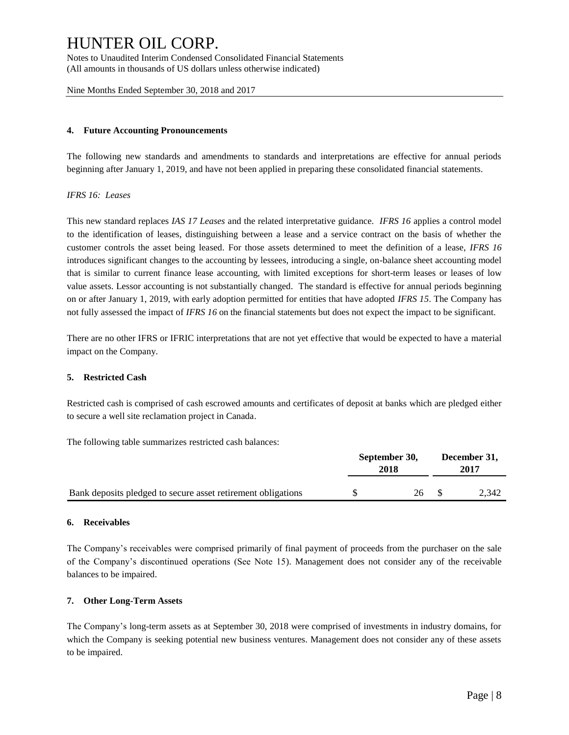Notes to Unaudited Interim Condensed Consolidated Financial Statements (All amounts in thousands of US dollars unless otherwise indicated)

Nine Months Ended September 30, 2018 and 2017

#### **4. Future Accounting Pronouncements**

The following new standards and amendments to standards and interpretations are effective for annual periods beginning after January 1, 2019, and have not been applied in preparing these consolidated financial statements.

### *IFRS 16: Leases*

This new standard replaces *IAS 17 Leases* and the related interpretative guidance. *IFRS 16* applies a control model to the identification of leases, distinguishing between a lease and a service contract on the basis of whether the customer controls the asset being leased. For those assets determined to meet the definition of a lease, *IFRS 16* introduces significant changes to the accounting by lessees, introducing a single, on-balance sheet accounting model that is similar to current finance lease accounting, with limited exceptions for short-term leases or leases of low value assets. Lessor accounting is not substantially changed. The standard is effective for annual periods beginning on or after January 1, 2019, with early adoption permitted for entities that have adopted *IFRS 15*. The Company has not fully assessed the impact of *IFRS 16* on the financial statements but does not expect the impact to be significant.

There are no other IFRS or IFRIC interpretations that are not yet effective that would be expected to have a material impact on the Company.

#### **5. Restricted Cash**

Restricted cash is comprised of cash escrowed amounts and certificates of deposit at banks which are pledged either to secure a well site reclamation project in Canada.

The following table summarizes restricted cash balances:

|                                                              | September 30,<br>2018 | December 31,<br>2017 |       |
|--------------------------------------------------------------|-----------------------|----------------------|-------|
| Bank deposits pledged to secure asset retirement obligations | 26                    |                      | 2.342 |

#### **6. Receivables**

The Company's receivables were comprised primarily of final payment of proceeds from the purchaser on the sale of the Company's discontinued operations (See Note 15). Management does not consider any of the receivable balances to be impaired.

#### **7. Other Long-Term Assets**

The Company's long-term assets as at September 30, 2018 were comprised of investments in industry domains, for which the Company is seeking potential new business ventures. Management does not consider any of these assets to be impaired.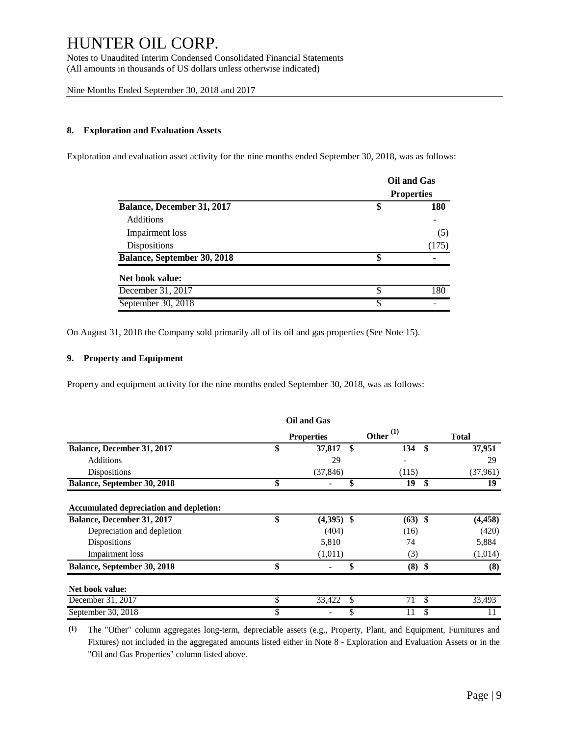Notes to Unaudited Interim Condensed Consolidated Financial Statements (All amounts in thousands of US dollars unless otherwise indicated)

Nine Months Ended September 30, 2018 and 2017

### **8. Exploration and Evaluation Assets**

Exploration and evaluation asset activity for the nine months ended September 30, 2018, was as follows:

|                                    |    | Oil and Gas       |  |  |  |
|------------------------------------|----|-------------------|--|--|--|
|                                    |    | <b>Properties</b> |  |  |  |
| Balance, December 31, 2017         | \$ | 180               |  |  |  |
| <b>Additions</b>                   |    |                   |  |  |  |
| Impairment loss                    |    | (5)               |  |  |  |
| Dispositions                       |    | (175)             |  |  |  |
| <b>Balance, September 30, 2018</b> | \$ |                   |  |  |  |
| Net book value:                    |    |                   |  |  |  |
| December 31, 2017                  | \$ | 180               |  |  |  |
| September 30, 2018                 | S  |                   |  |  |  |

On August 31, 2018 the Company sold primarily all of its oil and gas properties (See Note 15).

### **9. Property and Equipment**

Property and equipment activity for the nine months ended September 30, 2018, was as follows:

|                                         | Oil and Gas        |                |              |
|-----------------------------------------|--------------------|----------------|--------------|
|                                         | <b>Properties</b>  | Other $^{(1)}$ | <b>Total</b> |
| Balance, December 31, 2017              | \$<br>37,817       | \$<br>134      | \$<br>37,951 |
| <b>Additions</b>                        | 29                 |                | 29           |
| <b>Dispositions</b>                     | (37, 846)          | (115)          | (37,961)     |
| <b>Balance, September 30, 2018</b>      | \$                 | 19             | \$<br>19     |
| Accumulated depreciation and depletion: |                    |                |              |
| <b>Balance, December 31, 2017</b>       | \$<br>$(4,395)$ \$ | $(63)$ \$      | (4, 458)     |
| Depreciation and depletion              | (404)              | (16)           | (420)        |
| Dispositions                            | 5,810              | 74             | 5,884        |
| Impairment loss                         | (1,011)            | (3)            | (1,014)      |
| <b>Balance, September 30, 2018</b>      | \$                 | \$<br>$(8)$ \$ | (8)          |
| Net book value:                         |                    |                |              |
| December 31, 2017                       | \$<br>33,422       | \$<br>71       | \$<br>33,493 |
| September 30, 2018                      |                    |                |              |

**(1)** The "Other" column aggregates long-term, depreciable assets (e.g., Property, Plant, and Equipment, Furnitures and Fixtures) not included in the aggregated amounts listed either in Note 8 - Exploration and Evaluation Assets or in the "Oil and Gas Properties" column listed above.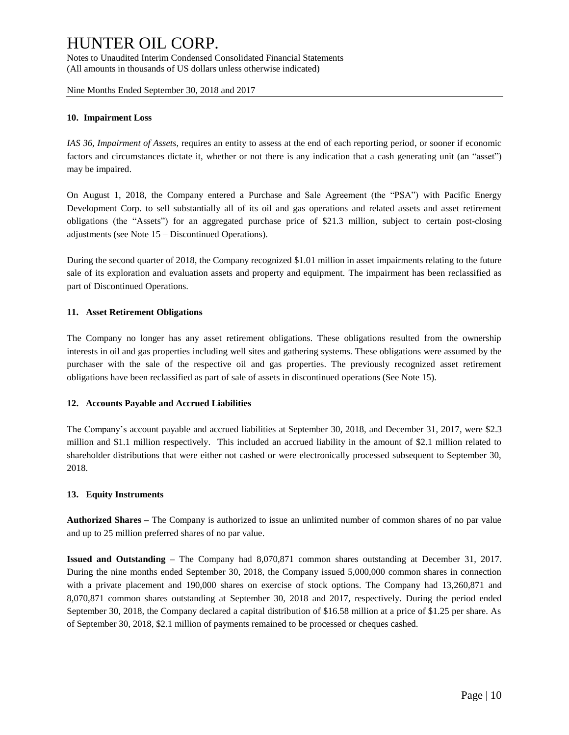Notes to Unaudited Interim Condensed Consolidated Financial Statements (All amounts in thousands of US dollars unless otherwise indicated)

Nine Months Ended September 30, 2018 and 2017

#### **10. Impairment Loss**

*IAS 36, Impairment of Assets,* requires an entity to assess at the end of each reporting period, or sooner if economic factors and circumstances dictate it, whether or not there is any indication that a cash generating unit (an "asset") may be impaired.

On August 1, 2018, the Company entered a Purchase and Sale Agreement (the "PSA") with Pacific Energy Development Corp. to sell substantially all of its oil and gas operations and related assets and asset retirement obligations (the "Assets") for an aggregated purchase price of \$21.3 million, subject to certain post-closing adjustments (see Note 15 – Discontinued Operations).

During the second quarter of 2018, the Company recognized \$1.01 million in asset impairments relating to the future sale of its exploration and evaluation assets and property and equipment. The impairment has been reclassified as part of Discontinued Operations.

### **11. Asset Retirement Obligations**

The Company no longer has any asset retirement obligations. These obligations resulted from the ownership interests in oil and gas properties including well sites and gathering systems. These obligations were assumed by the purchaser with the sale of the respective oil and gas properties. The previously recognized asset retirement obligations have been reclassified as part of sale of assets in discontinued operations (See Note 15).

#### **12. Accounts Payable and Accrued Liabilities**

The Company's account payable and accrued liabilities at September 30, 2018, and December 31, 2017, were \$2.3 million and \$1.1 million respectively. This included an accrued liability in the amount of \$2.1 million related to shareholder distributions that were either not cashed or were electronically processed subsequent to September 30, 2018.

### **13. Equity Instruments**

**Authorized Shares –** The Company is authorized to issue an unlimited number of common shares of no par value and up to 25 million preferred shares of no par value.

**Issued and Outstanding –** The Company had 8,070,871 common shares outstanding at December 31, 2017. During the nine months ended September 30, 2018, the Company issued 5,000,000 common shares in connection with a private placement and 190,000 shares on exercise of stock options. The Company had 13,260,871 and 8,070,871 common shares outstanding at September 30, 2018 and 2017, respectively. During the period ended September 30, 2018, the Company declared a capital distribution of \$16.58 million at a price of \$1.25 per share. As of September 30, 2018, \$2.1 million of payments remained to be processed or cheques cashed.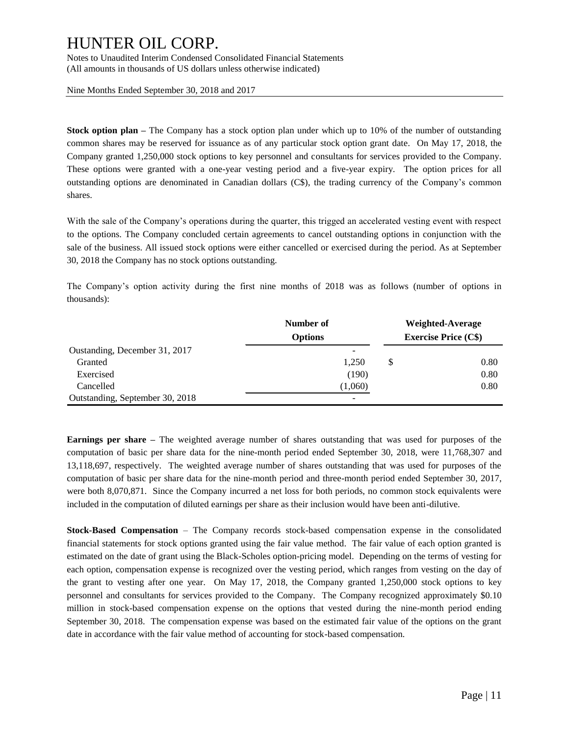Notes to Unaudited Interim Condensed Consolidated Financial Statements (All amounts in thousands of US dollars unless otherwise indicated)

Nine Months Ended September 30, 2018 and 2017

**Stock option plan –** The Company has a stock option plan under which up to 10% of the number of outstanding common shares may be reserved for issuance as of any particular stock option grant date. On May 17, 2018, the Company granted 1,250,000 stock options to key personnel and consultants for services provided to the Company. These options were granted with a one-year vesting period and a five-year expiry. The option prices for all outstanding options are denominated in Canadian dollars (C\$), the trading currency of the Company's common shares.

With the sale of the Company's operations during the quarter, this trigged an accelerated vesting event with respect to the options. The Company concluded certain agreements to cancel outstanding options in conjunction with the sale of the business. All issued stock options were either cancelled or exercised during the period. As at September 30, 2018 the Company has no stock options outstanding.

The Company's option activity during the first nine months of 2018 was as follows (number of options in thousands):

|                                 | Number of      |   | Weighted-Average            |
|---------------------------------|----------------|---|-----------------------------|
|                                 | <b>Options</b> |   | <b>Exercise Price (C\$)</b> |
| Oustanding, December 31, 2017   |                |   |                             |
| Granted                         | 1.250          | S | 0.80                        |
| Exercised                       | (190)          |   | 0.80                        |
| Cancelled                       | (1,060)        |   | 0.80                        |
| Outstanding, September 30, 2018 | -              |   |                             |

**Earnings per share –** The weighted average number of shares outstanding that was used for purposes of the computation of basic per share data for the nine-month period ended September 30, 2018, were 11,768,307 and 13,118,697, respectively. The weighted average number of shares outstanding that was used for purposes of the computation of basic per share data for the nine-month period and three-month period ended September 30, 2017, were both 8,070,871. Since the Company incurred a net loss for both periods, no common stock equivalents were included in the computation of diluted earnings per share as their inclusion would have been anti-dilutive.

**Stock-Based Compensation** – The Company records stock-based compensation expense in the consolidated financial statements for stock options granted using the fair value method. The fair value of each option granted is estimated on the date of grant using the Black-Scholes option-pricing model. Depending on the terms of vesting for each option, compensation expense is recognized over the vesting period, which ranges from vesting on the day of the grant to vesting after one year. On May 17, 2018, the Company granted 1,250,000 stock options to key personnel and consultants for services provided to the Company. The Company recognized approximately \$0.10 million in stock-based compensation expense on the options that vested during the nine-month period ending September 30, 2018. The compensation expense was based on the estimated fair value of the options on the grant date in accordance with the fair value method of accounting for stock-based compensation.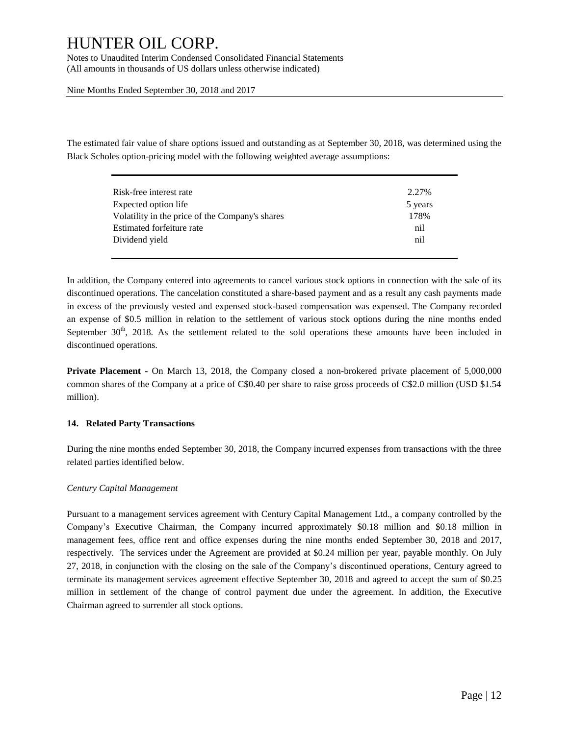Notes to Unaudited Interim Condensed Consolidated Financial Statements (All amounts in thousands of US dollars unless otherwise indicated)

Nine Months Ended September 30, 2018 and 2017

The estimated fair value of share options issued and outstanding as at September 30, 2018, was determined using the Black Scholes option-pricing model with the following weighted average assumptions:

| Risk-free interest rate                         | 2.27%   |
|-------------------------------------------------|---------|
| Expected option life                            | 5 years |
| Volatility in the price of the Company's shares | 178%    |
| Estimated forfeiture rate                       | nil     |
| Dividend vield                                  | nil     |
|                                                 |         |

In addition, the Company entered into agreements to cancel various stock options in connection with the sale of its discontinued operations. The cancelation constituted a share-based payment and as a result any cash payments made in excess of the previously vested and expensed stock-based compensation was expensed. The Company recorded an expense of \$0.5 million in relation to the settlement of various stock options during the nine months ended September  $30<sup>th</sup>$ , 2018. As the settlement related to the sold operations these amounts have been included in discontinued operations.

**Private Placement -** On March 13, 2018, the Company closed a non-brokered private placement of 5,000,000 common shares of the Company at a price of C\$0.40 per share to raise gross proceeds of C\$2.0 million (USD \$1.54 million).

### **14. Related Party Transactions**

During the nine months ended September 30, 2018, the Company incurred expenses from transactions with the three related parties identified below.

#### *Century Capital Management*

Pursuant to a management services agreement with Century Capital Management Ltd., a company controlled by the Company's Executive Chairman, the Company incurred approximately \$0.18 million and \$0.18 million in management fees, office rent and office expenses during the nine months ended September 30, 2018 and 2017, respectively. The services under the Agreement are provided at \$0.24 million per year, payable monthly. On July 27, 2018, in conjunction with the closing on the sale of the Company's discontinued operations, Century agreed to terminate its management services agreement effective September 30, 2018 and agreed to accept the sum of \$0.25 million in settlement of the change of control payment due under the agreement. In addition, the Executive Chairman agreed to surrender all stock options.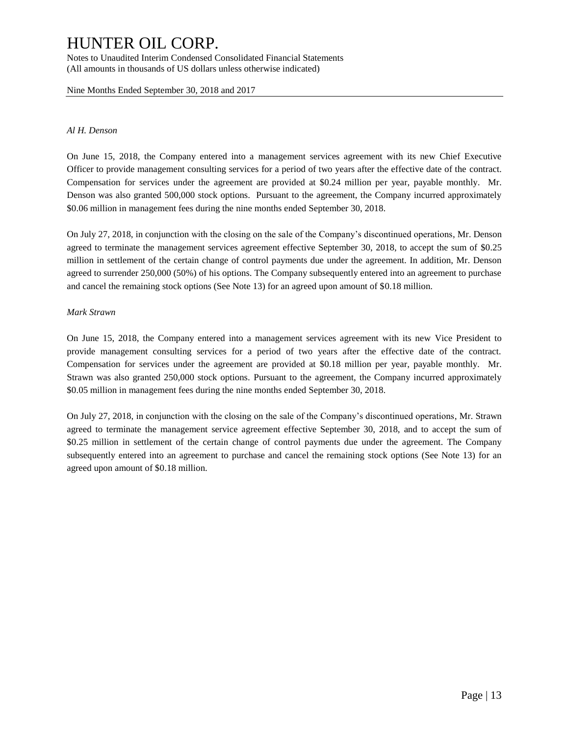Notes to Unaudited Interim Condensed Consolidated Financial Statements (All amounts in thousands of US dollars unless otherwise indicated)

Nine Months Ended September 30, 2018 and 2017

#### *Al H. Denson*

On June 15, 2018, the Company entered into a management services agreement with its new Chief Executive Officer to provide management consulting services for a period of two years after the effective date of the contract. Compensation for services under the agreement are provided at \$0.24 million per year, payable monthly. Mr. Denson was also granted 500,000 stock options. Pursuant to the agreement, the Company incurred approximately \$0.06 million in management fees during the nine months ended September 30, 2018.

On July 27, 2018, in conjunction with the closing on the sale of the Company's discontinued operations, Mr. Denson agreed to terminate the management services agreement effective September 30, 2018, to accept the sum of \$0.25 million in settlement of the certain change of control payments due under the agreement. In addition, Mr. Denson agreed to surrender 250,000 (50%) of his options. The Company subsequently entered into an agreement to purchase and cancel the remaining stock options (See Note 13) for an agreed upon amount of \$0.18 million.

### *Mark Strawn*

On June 15, 2018, the Company entered into a management services agreement with its new Vice President to provide management consulting services for a period of two years after the effective date of the contract. Compensation for services under the agreement are provided at \$0.18 million per year, payable monthly. Mr. Strawn was also granted 250,000 stock options. Pursuant to the agreement, the Company incurred approximately \$0.05 million in management fees during the nine months ended September 30, 2018.

On July 27, 2018, in conjunction with the closing on the sale of the Company's discontinued operations, Mr. Strawn agreed to terminate the management service agreement effective September 30, 2018, and to accept the sum of \$0.25 million in settlement of the certain change of control payments due under the agreement. The Company subsequently entered into an agreement to purchase and cancel the remaining stock options (See Note 13) for an agreed upon amount of \$0.18 million.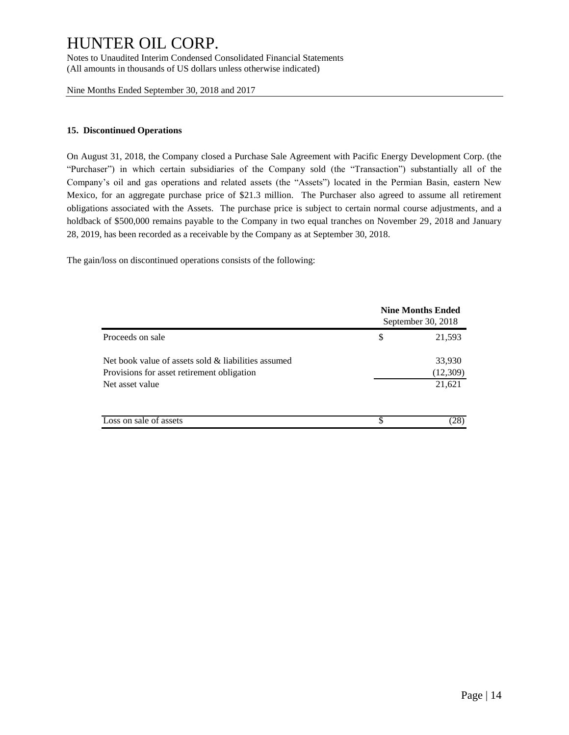Notes to Unaudited Interim Condensed Consolidated Financial Statements (All amounts in thousands of US dollars unless otherwise indicated)

Nine Months Ended September 30, 2018 and 2017

### **15. Discontinued Operations**

On August 31, 2018, the Company closed a Purchase Sale Agreement with Pacific Energy Development Corp. (the "Purchaser") in which certain subsidiaries of the Company sold (the "Transaction") substantially all of the Company's oil and gas operations and related assets (the "Assets") located in the Permian Basin, eastern New Mexico, for an aggregate purchase price of \$21.3 million. The Purchaser also agreed to assume all retirement obligations associated with the Assets. The purchase price is subject to certain normal course adjustments, and a holdback of \$500,000 remains payable to the Company in two equal tranches on November 29, 2018 and January 28, 2019, has been recorded as a receivable by the Company as at September 30, 2018.

The gain/loss on discontinued operations consists of the following:

|                                                     | <b>Nine Months Ended</b><br>September 30, 2018 |          |  |  |
|-----------------------------------------------------|------------------------------------------------|----------|--|--|
| Proceeds on sale                                    | \$                                             | 21,593   |  |  |
| Net book value of assets sold & liabilities assumed |                                                | 33,930   |  |  |
| Provisions for asset retirement obligation          |                                                | (12,309) |  |  |
| Net asset value                                     |                                                | 21,621   |  |  |
| Loss on sale of assets                              | \$                                             | (28)     |  |  |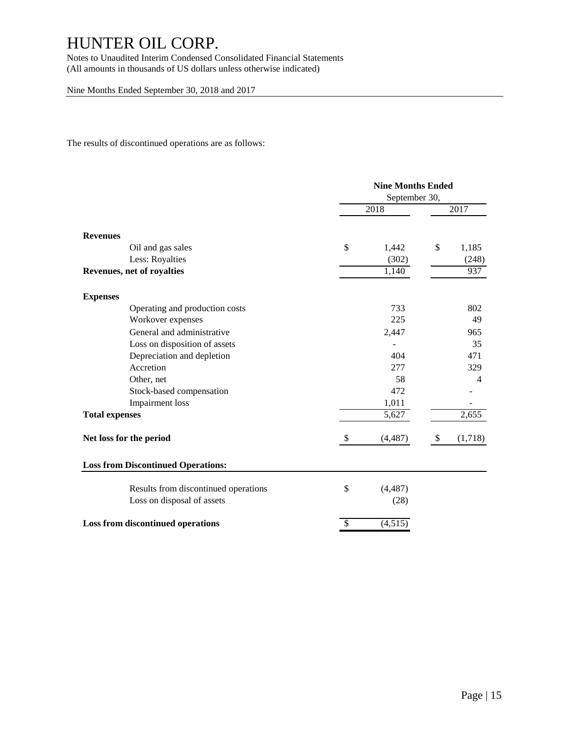Notes to Unaudited Interim Condensed Consolidated Financial Statements (All amounts in thousands of US dollars unless otherwise indicated)

Nine Months Ended September 30, 2018 and 2017

The results of discontinued operations are as follows:

|                                           | <b>Nine Months Ended</b><br>September 30, |          |                           |         |  |
|-------------------------------------------|-------------------------------------------|----------|---------------------------|---------|--|
|                                           | 2018                                      |          |                           | 2017    |  |
| <b>Revenues</b>                           |                                           |          |                           |         |  |
| Oil and gas sales                         | \$                                        | 1,442    | \$                        | 1,185   |  |
| Less: Royalties                           |                                           | (302)    |                           | (248)   |  |
| Revenues, net of royalties                |                                           | 1,140    |                           | 937     |  |
| <b>Expenses</b>                           |                                           |          |                           |         |  |
| Operating and production costs            |                                           | 733      |                           | 802     |  |
| Workover expenses                         |                                           | 225      |                           | 49      |  |
| General and administrative                |                                           | 2,447    |                           | 965     |  |
| Loss on disposition of assets             |                                           |          |                           | 35      |  |
| Depreciation and depletion                |                                           | 404      |                           | 471     |  |
| Accretion                                 |                                           | 277      |                           | 329     |  |
| Other, net                                |                                           | 58       |                           | 4       |  |
| Stock-based compensation                  |                                           | 472      |                           |         |  |
| Impairment loss                           |                                           | 1,011    |                           |         |  |
| <b>Total expenses</b>                     |                                           | 5,627    |                           | 2,655   |  |
| Net loss for the period                   | S                                         | (4, 487) | $\boldsymbol{\mathsf{S}}$ | (1,718) |  |
| <b>Loss from Discontinued Operations:</b> |                                           |          |                           |         |  |
| Results from discontinued operations      | $\mathbb{S}$                              | (4, 487) |                           |         |  |
| Loss on disposal of assets                |                                           | (28)     |                           |         |  |
| Loss from discontinued operations         | S                                         | (4,515)  |                           |         |  |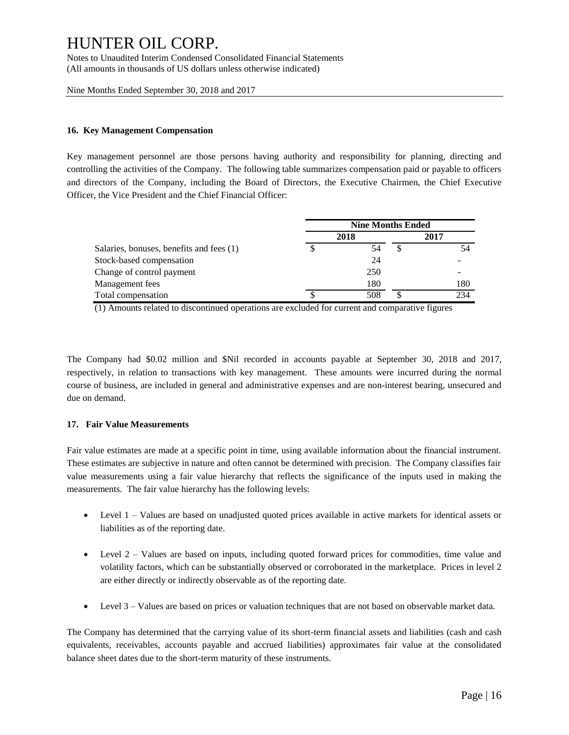Notes to Unaudited Interim Condensed Consolidated Financial Statements (All amounts in thousands of US dollars unless otherwise indicated)

Nine Months Ended September 30, 2018 and 2017

### **16. Key Management Compensation**

Key management personnel are those persons having authority and responsibility for planning, directing and controlling the activities of the Company. The following table summarizes compensation paid or payable to officers and directors of the Company, including the Board of Directors, the Executive Chairmen, the Chief Executive Officer, the Vice President and the Chief Financial Officer:

|                                          | <b>Nine Months Ended</b> |      |  |      |  |
|------------------------------------------|--------------------------|------|--|------|--|
|                                          |                          | 2018 |  | 2017 |  |
| Salaries, bonuses, benefits and fees (1) |                          | 54   |  |      |  |
| Stock-based compensation                 |                          | 24   |  |      |  |
| Change of control payment                |                          | 250  |  |      |  |
| Management fees                          |                          | 180  |  | 180  |  |
| Total compensation                       |                          | 508  |  | 234  |  |

(1) Amounts related to discontinued operations are excluded for current and comparative figures

The Company had \$0.02 million and \$Nil recorded in accounts payable at September 30, 2018 and 2017, respectively, in relation to transactions with key management. These amounts were incurred during the normal course of business, are included in general and administrative expenses and are non-interest bearing, unsecured and due on demand.

### **17. Fair Value Measurements**

Fair value estimates are made at a specific point in time, using available information about the financial instrument. These estimates are subjective in nature and often cannot be determined with precision. The Company classifies fair value measurements using a fair value hierarchy that reflects the significance of the inputs used in making the measurements. The fair value hierarchy has the following levels:

- Level 1 Values are based on unadjusted quoted prices available in active markets for identical assets or liabilities as of the reporting date.
- Level 2 Values are based on inputs, including quoted forward prices for commodities, time value and volatility factors, which can be substantially observed or corroborated in the marketplace. Prices in level 2 are either directly or indirectly observable as of the reporting date.
- Level 3 Values are based on prices or valuation techniques that are not based on observable market data.

The Company has determined that the carrying value of its short-term financial assets and liabilities (cash and cash equivalents, receivables, accounts payable and accrued liabilities) approximates fair value at the consolidated balance sheet dates due to the short-term maturity of these instruments.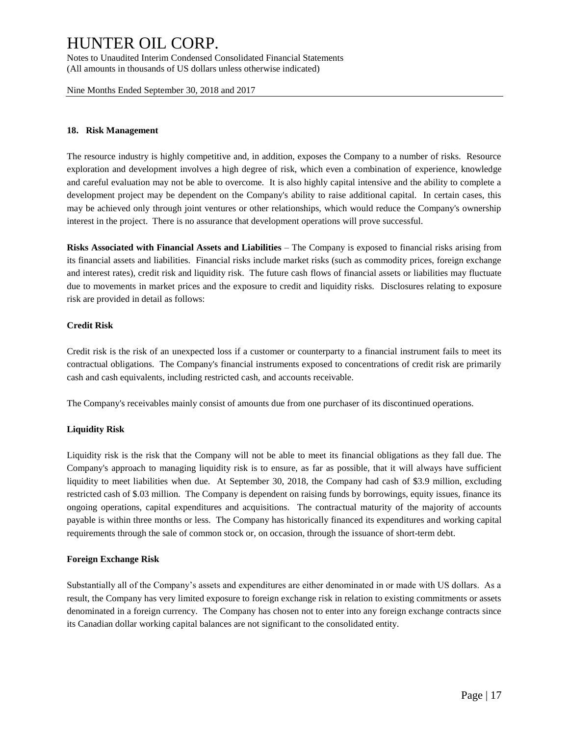Notes to Unaudited Interim Condensed Consolidated Financial Statements (All amounts in thousands of US dollars unless otherwise indicated)

Nine Months Ended September 30, 2018 and 2017

#### **18. Risk Management**

The resource industry is highly competitive and, in addition, exposes the Company to a number of risks. Resource exploration and development involves a high degree of risk, which even a combination of experience, knowledge and careful evaluation may not be able to overcome. It is also highly capital intensive and the ability to complete a development project may be dependent on the Company's ability to raise additional capital. In certain cases, this may be achieved only through joint ventures or other relationships, which would reduce the Company's ownership interest in the project. There is no assurance that development operations will prove successful.

**Risks Associated with Financial Assets and Liabilities** – The Company is exposed to financial risks arising from its financial assets and liabilities. Financial risks include market risks (such as commodity prices, foreign exchange and interest rates), credit risk and liquidity risk. The future cash flows of financial assets or liabilities may fluctuate due to movements in market prices and the exposure to credit and liquidity risks. Disclosures relating to exposure risk are provided in detail as follows:

### **Credit Risk**

Credit risk is the risk of an unexpected loss if a customer or counterparty to a financial instrument fails to meet its contractual obligations. The Company's financial instruments exposed to concentrations of credit risk are primarily cash and cash equivalents, including restricted cash, and accounts receivable.

The Company's receivables mainly consist of amounts due from one purchaser of its discontinued operations.

### **Liquidity Risk**

Liquidity risk is the risk that the Company will not be able to meet its financial obligations as they fall due. The Company's approach to managing liquidity risk is to ensure, as far as possible, that it will always have sufficient liquidity to meet liabilities when due. At September 30, 2018, the Company had cash of \$3.9 million, excluding restricted cash of \$.03 million. The Company is dependent on raising funds by borrowings, equity issues, finance its ongoing operations, capital expenditures and acquisitions. The contractual maturity of the majority of accounts payable is within three months or less. The Company has historically financed its expenditures and working capital requirements through the sale of common stock or, on occasion, through the issuance of short-term debt.

### **Foreign Exchange Risk**

Substantially all of the Company's assets and expenditures are either denominated in or made with US dollars. As a result, the Company has very limited exposure to foreign exchange risk in relation to existing commitments or assets denominated in a foreign currency. The Company has chosen not to enter into any foreign exchange contracts since its Canadian dollar working capital balances are not significant to the consolidated entity.